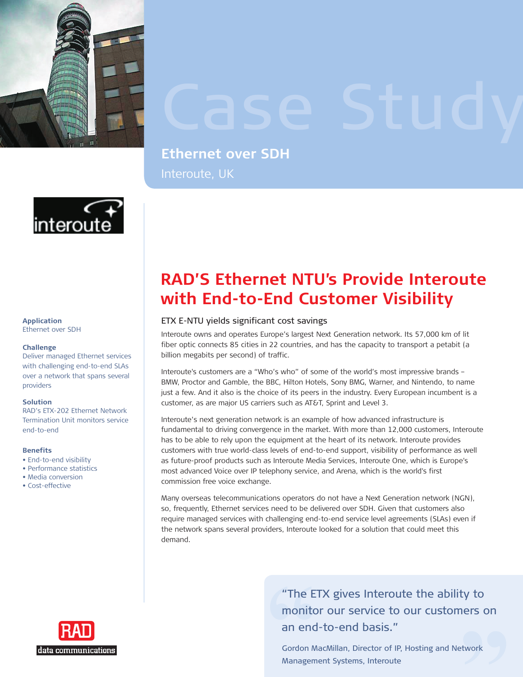

## **Ethernet over SDH** Interoute, UK



**Application** Ethernet over SDH

### **Challenge**

Deliver managed Ethernet services with challenging end-to-end SLAs over a network that spans several providers

#### **Solution**

RAD's ETX-202 Ethernet Network Termination Unit monitors service end-to-end

#### **Benefits**

- End-to-end visibility
- Performance statistics
- Media conversion •
- Cost-effective

# **RAD'S Ethernet NTU's Provide Interoute with End-to-End Customer Visibility**

## ETX E-NTU yields significant cost savings

Interoute owns and operates Europe's largest Next Generation network. Its 57,000 km of lit fiber optic connects 85 cities in 22 countries, and has the capacity to transport a petabit (a billion megabits per second) of traffic.

Interoute's customers are a "Who's who" of some of the world's most impressive brands – BMW, Proctor and Gamble, the BBC, Hilton Hotels, Sony BMG, Warner, and Nintendo, to name just a few. And it also is the choice of its peers in the industry. Every European incumbent is a customer, as are major US carriers such as AT&T, Sprint and Level 3.

Interoute's next generation network is an example of how advanced infrastructure is fundamental to driving convergence in the market. With more than 12,000 customers, Interoute has to be able to rely upon the equipment at the heart of its network. Interoute provides customers with true world-class levels of end-to-end support, visibility of performance as well as future-proof products such as Interoute Media Services, Interoute One, which is Europe's most advanced Voice over IP telephony service, and Arena, which is the world's first commission free voice exchange.

Many overseas telecommunications operators do not have a Next Generation network (NGN), so, frequently, Ethernet services need to be delivered over SDH. Given that customers also require managed services with challenging end-to-end service level agreements (SLAs) even if the network spans several providers, Interoute looked for a solution that could meet this demand. **Example 18**<br>
Interoute Medephony service<br>
Rephony service<br> **Example 2**<br> **Example 2**<br> **Example 2**<br> **Example 2**<br> **Example 2**<br> **Example 2**<br> **Example 2**<br> **Example 2**<br> **Example 2**<br> **Example 2**<br> **Example 2**<br> **Example 2**<br> **Examp** 

> "The ETX gives Interoute the ability to monitor our service to our customers on an end-to-end basis."

Gordon MacMillan, Director of IP, Hosting and Network Management Systems, Interoute